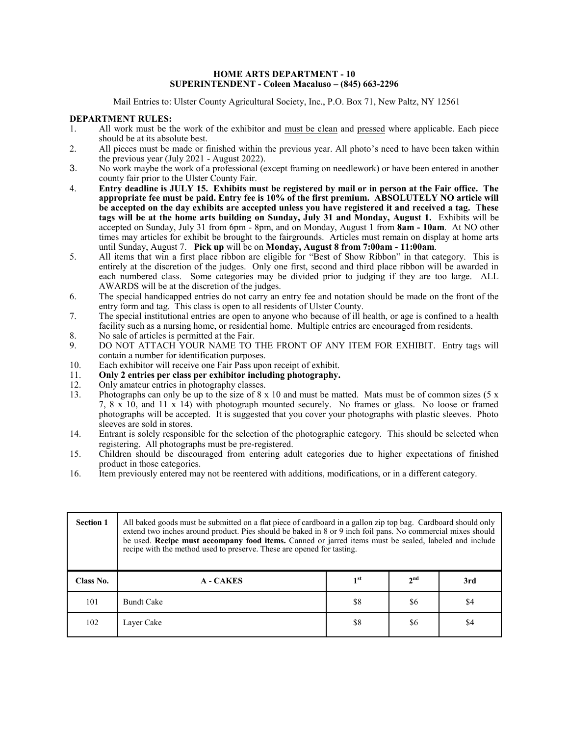#### **HOME ARTS DEPARTMENT - 10 SUPERINTENDENT - Coleen Macaluso – (845) 663-2296**

Mail Entries to: Ulster County Agricultural Society, Inc., P.O. Box 71, New Paltz, NY 12561

#### **DEPARTMENT RULES:**

- 1. All work must be the work of the exhibitor and must be clean and pressed where applicable. Each piece should be at its absolute best.
- 2. All pieces must be made or finished within the previous year. All photo's need to have been taken within the previous year (July 2021 - August 2022).
- 3. No work maybe the work of a professional (except framing on needlework) or have been entered in another county fair prior to the Ulster County Fair.
- 4. **Entry deadline is JULY 15. Exhibits must be registered by mail or in person at the Fair office. The appropriate fee must be paid. Entry fee is 10% of the first premium. ABSOLUTELY NO article will be accepted on the day exhibits are accepted unless you have registered it and received a tag. These tags will be at the home arts building on Sunday, July 31 and Monday, August 1.** Exhibits will be accepted on Sunday, July 31 from 6pm - 8pm, and on Monday, August 1 from **8am - 10am**. At NO other times may articles for exhibit be brought to the fairgrounds. Articles must remain on display at home arts until Sunday, August 7. **Pick up** will be on **Monday, August 8 from 7:00am - 11:00am**.
- 5. All items that win a first place ribbon are eligible for "Best of Show Ribbon" in that category. This is entirely at the discretion of the judges. Only one first, second and third place ribbon will be awarded in each numbered class. Some categories may be divided prior to judging if they are too large. ALL AWARDS will be at the discretion of the judges.
- 6. The special handicapped entries do not carry an entry fee and notation should be made on the front of the entry form and tag. This class is open to all residents of Ulster County.
- 7. The special institutional entries are open to anyone who because of ill health, or age is confined to a health facility such as a nursing home, or residential home. Multiple entries are encouraged from residents.
- 8. No sale of articles is permitted at the Fair.
- 9. DO NOT ATTACH YOUR NAME TO THE FRONT OF ANY ITEM FOR EXHIBIT. Entry tags will contain a number for identification purposes.
- 10. Each exhibitor will receive one Fair Pass upon receipt of exhibit.
- 11. **Only 2 entries per class per exhibitor including photography.**
- 12. Only amateur entries in photography classes.
- 13. Photographs can only be up to the size of  $8 \times 10$  and must be matted. Mats must be of common sizes (5 x 7, 8 x 10, and 11 x 14) with photograph mounted securely. No frames or glass. No loose or framed photographs will be accepted. It is suggested that you cover your photographs with plastic sleeves. Photo sleeves are sold in stores.
- 14. Entrant is solely responsible for the selection of the photographic category. This should be selected when registering. All photographs must be pre-registered.
- 15. Children should be discouraged from entering adult categories due to higher expectations of finished product in those categories.
- 16. Item previously entered may not be reentered with additions, modifications, or in a different category.

| <b>Section 1</b> | All baked goods must be submitted on a flat piece of cardboard in a gallon zip top bag. Cardboard should only<br>extend two inches around product. Pies should be baked in 8 or 9 inch foil pans. No commercial mixes should<br>be used. Recipe must accompany food items. Canned or jarred items must be sealed, labeled and include<br>recipe with the method used to preserve. These are opened for tasting. |                 |                 |     |
|------------------|-----------------------------------------------------------------------------------------------------------------------------------------------------------------------------------------------------------------------------------------------------------------------------------------------------------------------------------------------------------------------------------------------------------------|-----------------|-----------------|-----|
| Class No.        | <b>A</b> - CAKES                                                                                                                                                                                                                                                                                                                                                                                                | 1 <sup>st</sup> | 2 <sub>nd</sub> | 3rd |
| 101              | <b>Bundt Cake</b>                                                                                                                                                                                                                                                                                                                                                                                               | \$8             | \$6             | \$4 |
| 102              | Layer Cake                                                                                                                                                                                                                                                                                                                                                                                                      | \$8             | \$6             | \$4 |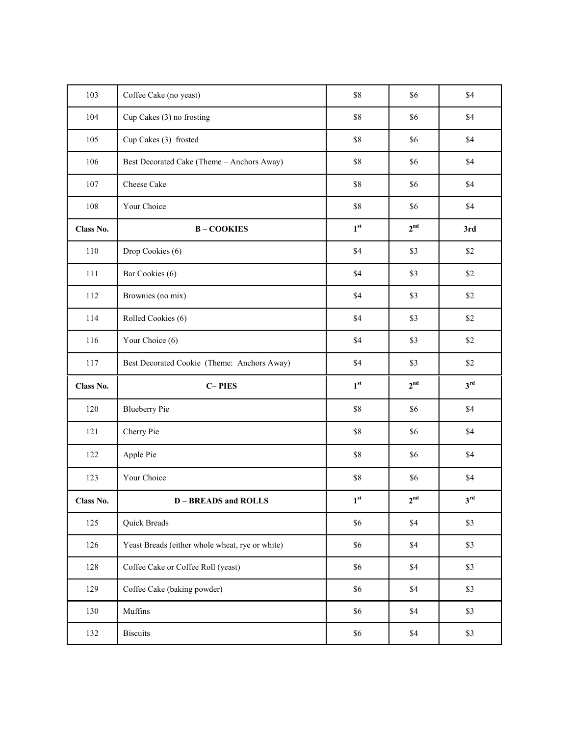| 103       | Coffee Cake (no yeast)                          | \$8             | \$6             | \$4             |
|-----------|-------------------------------------------------|-----------------|-----------------|-----------------|
| 104       | Cup Cakes (3) no frosting                       | \$8             | \$6             | \$4             |
| 105       | Cup Cakes (3) frosted                           | \$8             | \$6             | \$4             |
| 106       | Best Decorated Cake (Theme - Anchors Away)      | \$8             | \$6             | \$4             |
| 107       | Cheese Cake                                     | \$8             | \$6             | \$4             |
| 108       | Your Choice                                     | \$8             | \$6             | \$4             |
| Class No. | <b>B-COOKIES</b>                                | 1 <sup>st</sup> | 2 <sup>nd</sup> | 3rd             |
| 110       | Drop Cookies (6)                                | \$4             | \$3             | \$2             |
| 111       | Bar Cookies (6)                                 | \$4             | \$3             | \$2             |
| 112       | Brownies (no mix)                               | \$4             | \$3             | \$2             |
| 114       | Rolled Cookies (6)                              | \$4             | \$3             | \$2             |
| 116       | Your Choice (6)                                 | \$4             | \$3             | \$2             |
| 117       | Best Decorated Cookie (Theme: Anchors Away)     | \$4             | \$3             | \$2             |
| Class No. | <b>C-PIES</b>                                   | 1 <sup>st</sup> | 2 <sup>nd</sup> | 3 <sup>rd</sup> |
| 120       | <b>Blueberry Pie</b>                            | $\$8$           | \$6             | \$4             |
| 121       | Cherry Pie                                      | \$8             | \$6             | \$4             |
| 122       | Apple Pie                                       | \$8             | \$6             | \$4             |
| 123       |                                                 |                 |                 |                 |
|           | Your Choice                                     | \$8             | \$6             | \$4             |
| Class No. | <b>D-BREADS</b> and ROLLS                       | $1^{\rm st}$    | 2 <sup>nd</sup> | $3^{\text{rd}}$ |
| 125       | Quick Breads                                    | \$6             | \$4             | \$3             |
| 126       | Yeast Breads (either whole wheat, rye or white) | \$6             | \$4             | \$3             |
| 128       | Coffee Cake or Coffee Roll (yeast)              | \$6             | $\$4$           | \$3             |
| 129       | Coffee Cake (baking powder)                     | \$6             | $\$4$           | $$3$            |
| 130       | Muffins                                         | \$6             | $\$4$           | $$3$            |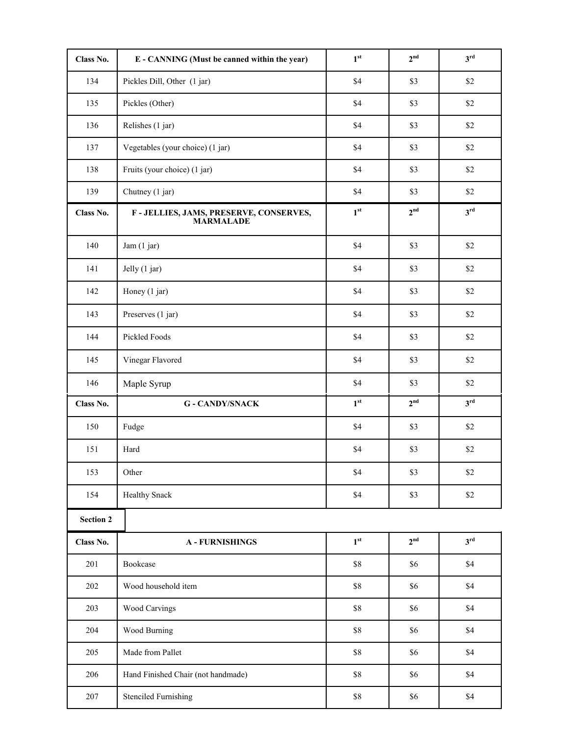| Class No.        | E - CANNING (Must be canned within the year)                | 1 <sup>st</sup> | 2 <sup>nd</sup> | $3^{\text{rd}}$ |
|------------------|-------------------------------------------------------------|-----------------|-----------------|-----------------|
| 134              | Pickles Dill, Other (1 jar)                                 | \$4             | \$3             | \$2             |
| 135              | Pickles (Other)                                             | \$4             | \$3             | \$2             |
| 136              | Relishes (1 jar)                                            | \$4             | \$3             | \$2             |
| 137              | Vegetables (your choice) (1 jar)                            | \$4             | \$3             | \$2             |
| 138              | Fruits (your choice) (1 jar)                                | \$4             | \$3             | \$2             |
| 139              | Chutney (1 jar)                                             | \$4             | \$3             | \$2             |
| Class No.        | F - JELLIES, JAMS, PRESERVE, CONSERVES,<br><b>MARMALADE</b> | 1 <sup>st</sup> | 2 <sup>nd</sup> | 3 <sup>rd</sup> |
| 140              | Jam (1 jar)                                                 | \$4             | \$3             | \$2             |
| 141              | Jelly (1 jar)                                               | \$4             | \$3             | \$2             |
| 142              | Honey (1 jar)                                               | \$4             | \$3             | \$2             |
| 143              | Preserves (1 jar)                                           | \$4             | \$3             | \$2             |
| 144              | Pickled Foods                                               | \$4             | \$3             | \$2             |
| 145              | Vinegar Flavored                                            | \$4             | \$3             | \$2             |
| 146              | Maple Syrup                                                 | \$4             | \$3             | \$2             |
| Class No.        | <b>G - CANDY/SNACK</b>                                      | 1 <sup>st</sup> | 2 <sup>nd</sup> | 3 <sup>rd</sup> |
| 150              | Fudge                                                       | \$4             | \$3             | \$2             |
| 151              | Hard                                                        | \$4             | \$3             | $\$2$           |
| 153              | Other                                                       | \$4             | \$3             | $\$2$           |
| 154              | <b>Healthy Snack</b>                                        | \$4             | \$3             | \$2             |
| <b>Section 2</b> |                                                             |                 |                 |                 |
| Class No.        | <b>A - FURNISHINGS</b>                                      | 1 <sup>st</sup> | 2 <sup>nd</sup> | 3 <sup>rd</sup> |
| 201              | Bookcase                                                    | $\$8$           | \$6             | \$4             |
| 202              | Wood household item                                         | $\$8$           | \$6             | \$4             |
| 203              | <b>Wood Carvings</b>                                        | $\$8$           | \$6             | \$4             |
| 204              | Wood Burning                                                | $\$8$           | \$6             | \$4             |
| 205              | Made from Pallet                                            | $\$8$           | \$6             | \$4             |
| 206              | Hand Finished Chair (not handmade)                          | $\$8$           | \$6             | \$4             |
| 207              | <b>Stenciled Furnishing</b>                                 | $\$8$           | \$6             | $\$4$           |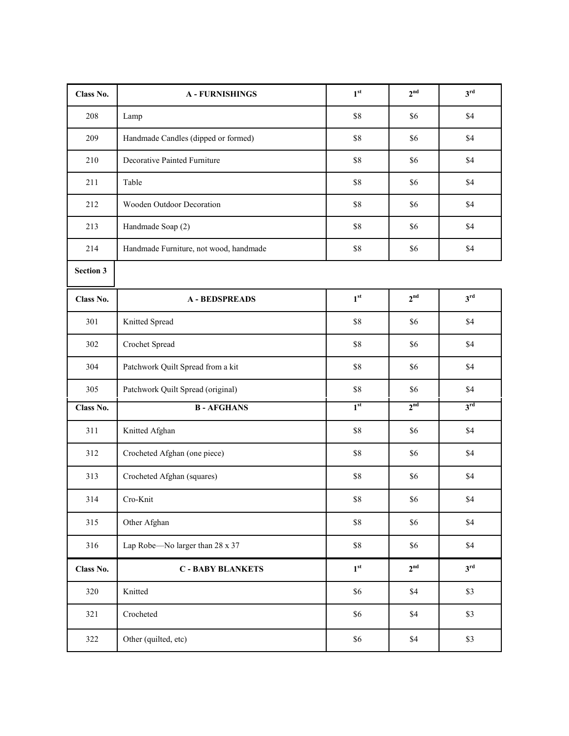| Class No.        | <b>A - FURNISHINGS</b>                 | 1 <sup>st</sup>          | 2 <sup>nd</sup> | 3 <sup>rd</sup> |
|------------------|----------------------------------------|--------------------------|-----------------|-----------------|
| 208              | Lamp                                   | $\$8$                    | \$6             | \$4             |
| 209              | Handmade Candles (dipped or formed)    | $\$8$                    | \$6             | \$4             |
| 210              | Decorative Painted Furniture           | \$8                      | \$6             | \$4             |
| 211              | Table                                  | $\$8$                    | \$6             | \$4             |
| 212              | Wooden Outdoor Decoration              | \$8                      | \$6             | \$4             |
| 213              | Handmade Soap (2)                      | \$8                      | \$6             | \$4             |
| 214              | Handmade Furniture, not wood, handmade | \$8                      | \$6             | \$4             |
| <b>Section 3</b> |                                        |                          |                 |                 |
| Class No.        | <b>A-BEDSPREADS</b>                    | $\mathbf{1}^{\text{st}}$ | 2 <sup>nd</sup> | 3 <sup>rd</sup> |
| 301              | Knitted Spread                         | $\$8$                    | \$6             | \$4             |
| 302              | Crochet Spread                         | $\$8$                    | \$6             | \$4             |
| 304              | Patchwork Quilt Spread from a kit      | \$8                      | \$6             | \$4             |
| 305              | Patchwork Quilt Spread (original)      | \$8                      | \$6             | \$4             |
| Class No.        | <b>B-AFGHANS</b>                       | 1 <sup>st</sup>          | 2 <sup>nd</sup> | 3 <sup>rd</sup> |
| 311              | Knitted Afghan                         | $\$8$                    | \$6             | \$4             |
| 312              | Crocheted Afghan (one piece)           | \$8                      | \$6             | \$4             |
| 313              | Crocheted Afghan (squares)             | $\$8$                    | \$6             | \$4             |
| 314              | Cro-Knit                               | $\$8$                    | \$6             | \$4             |
| 315              | Other Afghan                           | $\$8$                    | \$6             | \$4             |
| 316              | Lap Robe-No larger than 28 x 37        | $\$8$                    | \$6             | \$4             |
| Class No.        | <b>C - BABY BLANKETS</b>               | 1 <sup>st</sup>          | 2 <sup>nd</sup> | 3 <sup>rd</sup> |
| 320              | Knitted                                | \$6                      | \$4             | \$3             |
| 321              | Crocheted                              | \$6                      | $\$4$           | $$3$            |
| 322              | Other (quilted, etc)                   | \$6                      | \$4             | $$3$            |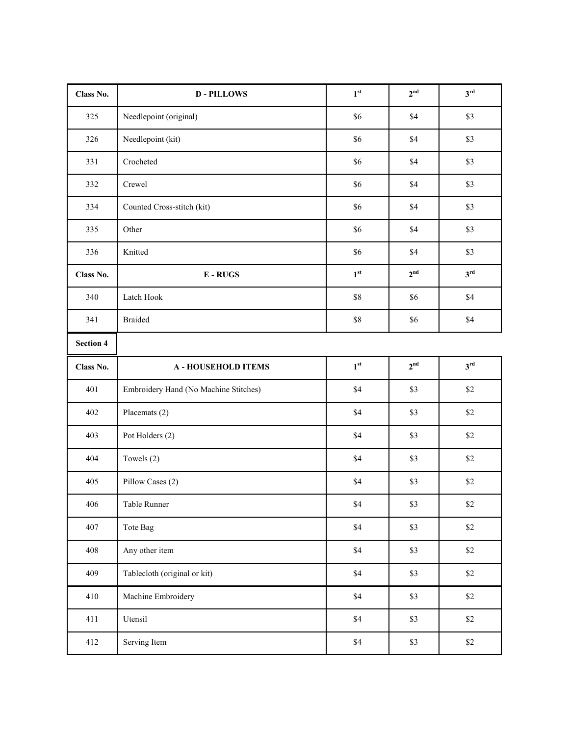| Class No.        | <b>D-PILLOWS</b>                      | 1 <sup>st</sup> | 2 <sup>nd</sup> | 3 <sup>rd</sup> |
|------------------|---------------------------------------|-----------------|-----------------|-----------------|
| 325              | Needlepoint (original)                | \$6             | \$4             | \$3             |
| 326              | Needlepoint (kit)                     | \$6             | \$4             | \$3             |
| 331              | Crocheted                             | \$6             | \$4             | \$3             |
| 332              | Crewel                                | \$6             | \$4             | \$3             |
| 334              | Counted Cross-stitch (kit)            | \$6             | \$4             | \$3             |
| 335              | Other                                 | \$6             | \$4             | \$3             |
| 336              | Knitted                               | \$6             | \$4             | \$3             |
| Class No.        | $E - RUGS$                            | 1 <sup>st</sup> | 2 <sup>nd</sup> | 3 <sup>rd</sup> |
| 340              | Latch Hook                            | $\$8$           | \$6             | \$4             |
| 341              | <b>Braided</b>                        | $\$8$           | \$6             | \$4             |
| <b>Section 4</b> |                                       |                 |                 |                 |
| Class No.        | <b>A - HOUSEHOLD ITEMS</b>            | 1 <sup>st</sup> | 2 <sup>nd</sup> | 3 <sup>rd</sup> |
| 401              | Embroidery Hand (No Machine Stitches) | \$4             | \$3             | \$2             |
| 402              | Placemats (2)                         | \$4             | \$3             | \$2             |
| 403              | Pot Holders (2)                       | $\$4$           | \$3             | $\$2$           |
| 404              | Towels (2)                            | \$4             | \$3             | $\$2$           |
| 405              | Pillow Cases (2)                      | \$4             | $$3$            | $\$2$           |
| 406              | Table Runner                          | \$4             | \$3             | $\$2$           |
| 407              | Tote Bag                              | \$4\$           | $$3$            | $\$2$           |
| 408              | Any other item                        | \$4             | \$3             | $\$2$           |
| 409              | Tablecloth (original or kit)          | \$4\$           | \$3             | $\$2$           |
| 410              | Machine Embroidery                    | $\$4$           | \$3             | $\$2$           |
| 411              | Utensil                               | $\$4$           | $$3$            | $\$2$           |
| 412              | Serving Item                          | $\$4$           | $$3$            | $\$2$           |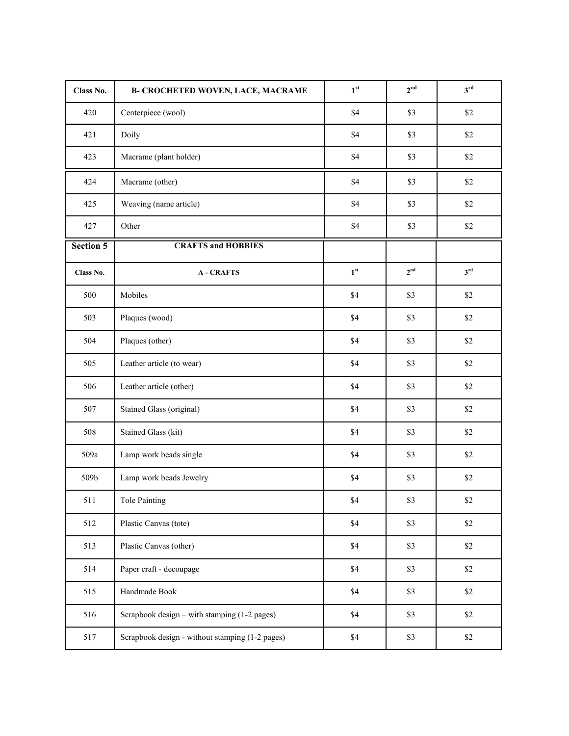| Class No.        | <b>B- CROCHETED WOVEN, LACE, MACRAME</b>        | 1 <sup>st</sup> | 2 <sup>nd</sup> | $3^{\text{rd}}$ |
|------------------|-------------------------------------------------|-----------------|-----------------|-----------------|
| 420              | Centerpiece (wool)                              | \$4             | \$3             | \$2             |
| 421              | Doily                                           | \$4             | \$3             | \$2             |
| 423              | Macrame (plant holder)                          | \$4             | \$3             | $\$2$           |
| 424              | Macrame (other)                                 | \$4             | \$3             | $\$2$           |
| 425              | Weaving (name article)                          | \$4             | \$3             | $\$2$           |
| 427              | Other                                           | \$4             | \$3             | $\$2$           |
| <b>Section 5</b> | <b>CRAFTS and HOBBIES</b>                       |                 |                 |                 |
| Class No.        | <b>A-CRAFTS</b>                                 | 1 <sup>st</sup> | 2 <sup>nd</sup> | $3^{\text{rd}}$ |
| 500              | Mobiles                                         | \$4             | \$3             | \$2             |
| 503              | Plaques (wood)                                  | \$4             | \$3             | \$2             |
| 504              | Plaques (other)                                 | \$4             | \$3             | \$2             |
| 505              | Leather article (to wear)                       | \$4             | \$3             | \$2             |
| 506              | Leather article (other)                         | \$4             | \$3             | $\$2$           |
| 507              | Stained Glass (original)                        | \$4             | \$3             | $\$2$           |
| 508              | Stained Glass (kit)                             | \$4             | \$3             | $\$2$           |
| 509a             | Lamp work beads single                          | \$4             | \$3             | $\$2$           |
| 509b             | Lamp work beads Jewelry                         | \$4             | \$3             | $\$2$           |
| 511              | Tole Painting                                   | $\$4$           | \$3             | $\$2$           |
| 512              | Plastic Canvas (tote)                           | \$4             | \$3             | \$2             |
| 513              | Plastic Canvas (other)                          | \$4             | \$3             | \$2             |
| 514              | Paper craft - decoupage                         | \$4             | \$3             | \$2             |
| 515              | Handmade Book                                   | \$4             | \$3             | \$2             |
| 516              | Scrapbook design – with stamping (1-2 pages)    | \$4             | \$3             | \$2             |
| 517              | Scrapbook design - without stamping (1-2 pages) | $\$4$           | \$3             | $\$2$           |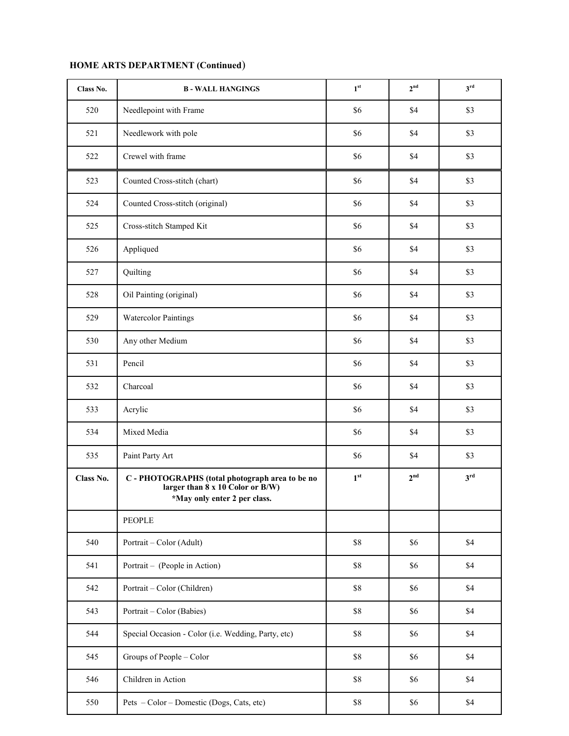| Class No. | <b>B-WALL HANGINGS</b>                                                                                                               | 1 <sup>st</sup> | 2 <sup>nd</sup> | $3^{\text{rd}}$ |
|-----------|--------------------------------------------------------------------------------------------------------------------------------------|-----------------|-----------------|-----------------|
| 520       | Needlepoint with Frame                                                                                                               | \$6             | \$4             | \$3             |
| 521       | Needlework with pole                                                                                                                 | \$6             | \$4             | \$3             |
| 522       | Crewel with frame                                                                                                                    | \$6             | \$4             | \$3             |
| 523       | Counted Cross-stitch (chart)                                                                                                         | \$6             | \$4             | \$3             |
| 524       | Counted Cross-stitch (original)                                                                                                      | \$6             | \$4             | \$3             |
| 525       | Cross-stitch Stamped Kit                                                                                                             | \$6             | \$4             | \$3             |
| 526       | Appliqued                                                                                                                            | \$6             | \$4             | \$3             |
| 527       | Quilting                                                                                                                             | \$6             | \$4             | \$3             |
| 528       | Oil Painting (original)                                                                                                              | \$6             | \$4             | \$3             |
| 529       | <b>Watercolor Paintings</b>                                                                                                          | \$6             | \$4             | \$3             |
| 530       | Any other Medium                                                                                                                     | \$6             | \$4             | \$3             |
| 531       | Pencil                                                                                                                               | \$6             | \$4             | \$3             |
| 532       | Charcoal                                                                                                                             | \$6             | \$4             | \$3             |
| 533       | Acrylic                                                                                                                              | \$6             | \$4             | \$3             |
| 534       | Mixed Media                                                                                                                          | \$6             | \$4             | \$3             |
| 535       | Paint Party Art                                                                                                                      | \$6             | \$4             | \$3             |
| Class No. | C - PHOTOGRAPHS (total photograph area to be no<br>larger than $\hat{8}$ x 10 Color or $\hat{B}/W$ )<br>*May only enter 2 per class. | 1 <sup>st</sup> | 2 <sup>nd</sup> | 3 <sup>rd</sup> |
|           | <b>PEOPLE</b>                                                                                                                        |                 |                 |                 |
| 540       | Portrait - Color (Adult)                                                                                                             | $\$8$           | \$6             | \$4             |
| 541       | Portrait - (People in Action)                                                                                                        | \$8             | \$6             | \$4             |
| 542       | Portrait - Color (Children)                                                                                                          | \$8             | \$6             | \$4             |
| 543       | Portrait – Color (Babies)                                                                                                            | $\$8$           | \$6             | \$4             |
| 544       | Special Occasion - Color (i.e. Wedding, Party, etc)                                                                                  | $\$8$           | \$6             | \$4             |
| 545       | Groups of People - Color                                                                                                             | $\$8$           | \$6             | \$4             |
| 546       | Children in Action                                                                                                                   | $\$8$           | \$6             | \$4             |
| 550       | Pets - Color - Domestic (Dogs, Cats, etc)                                                                                            | $\$8$           | \$6             | $\$4$           |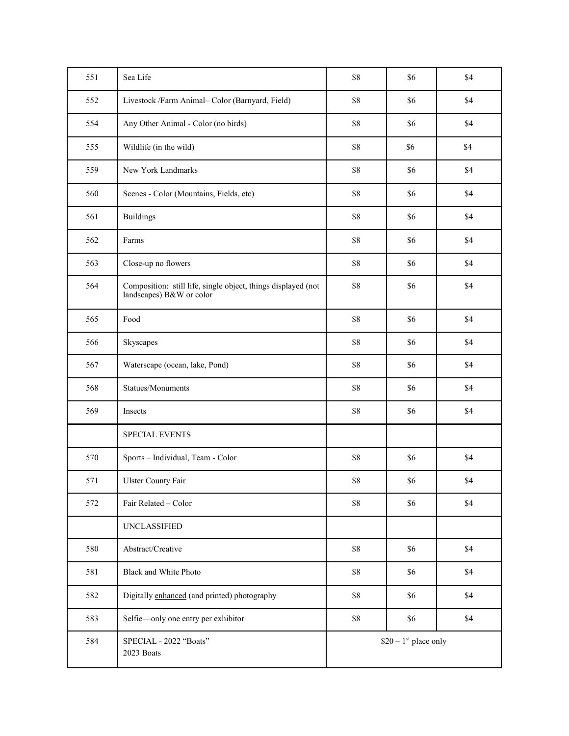| 551 | Sea Life                                                                                  | \$8                    | \$6 | \$4 |
|-----|-------------------------------------------------------------------------------------------|------------------------|-----|-----|
| 552 | Livestock /Farm Animal- Color (Barnyard, Field)                                           | $\$8$                  | \$6 | \$4 |
| 554 | Any Other Animal - Color (no birds)                                                       | $\$8$                  | \$6 | \$4 |
| 555 | Wildlife (in the wild)                                                                    | $\$8$                  | \$6 | \$4 |
| 559 | New York Landmarks                                                                        | \$8                    | \$6 | \$4 |
| 560 | Scenes - Color (Mountains, Fields, etc)                                                   | $\$8$                  | \$6 | \$4 |
| 561 | <b>Buildings</b>                                                                          | \$8                    | \$6 | \$4 |
| 562 | Farms                                                                                     | \$8                    | \$6 | \$4 |
| 563 | Close-up no flowers                                                                       | \$8                    | \$6 | \$4 |
| 564 | Composition: still life, single object, things displayed (not<br>landscapes) B&W or color | $\$8$                  | \$6 | \$4 |
| 565 | Food                                                                                      | $\$8$                  | \$6 | \$4 |
| 566 | Skyscapes                                                                                 | $\$8$                  | \$6 | \$4 |
| 567 | Waterscape (ocean, lake, Pond)                                                            | \$8                    | \$6 | \$4 |
| 568 | Statues/Monuments                                                                         | \$8                    | \$6 | \$4 |
| 569 | Insects                                                                                   | $\$8$                  | \$6 | \$4 |
|     | <b>SPECIAL EVENTS</b>                                                                     |                        |     |     |
| 570 | Sports - Individual, Team - Color                                                         | \$8                    | \$6 | \$4 |
| 571 | Ulster County Fair                                                                        | $\$8$                  | \$6 | \$4 |
| 572 | Fair Related - Color                                                                      | $\$8$                  | \$6 | \$4 |
|     | <b>UNCLASSIFIED</b>                                                                       |                        |     |     |
| 580 | Abstract/Creative                                                                         | $\$8$                  | \$6 | \$4 |
| 581 | Black and White Photo                                                                     | $\$8$                  | \$6 | \$4 |
| 582 | Digitally enhanced (and printed) photography                                              | $\$8$                  | \$6 | \$4 |
| 583 | Selfie-only one entry per exhibitor                                                       | $\$8$                  | \$6 | \$4 |
| 584 | SPECIAL - 2022 "Boats"<br>2023 Boats                                                      | $$20 - 1st$ place only |     |     |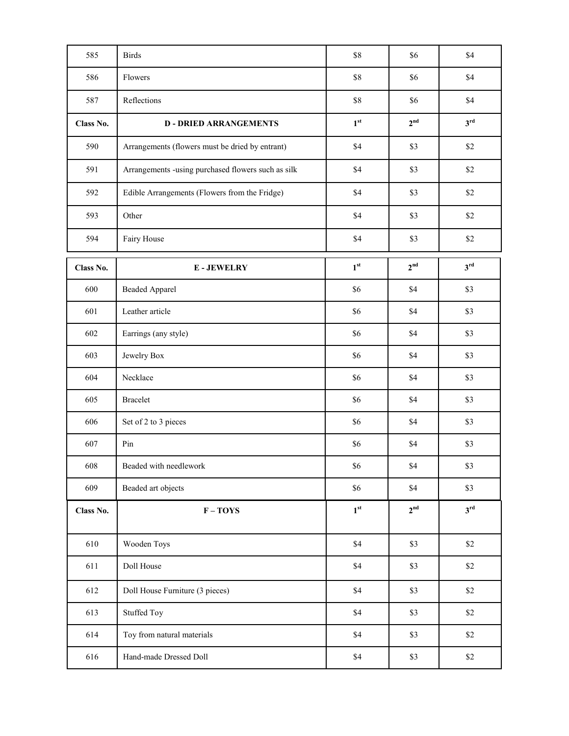| 585       | <b>Birds</b>                                       | \$8             | \$6             | \$4             |
|-----------|----------------------------------------------------|-----------------|-----------------|-----------------|
| 586       | Flowers                                            | \$8             | \$6             | \$4             |
| 587       | Reflections                                        | \$8             | \$6             | \$4             |
| Class No. | <b>D-DRIED ARRANGEMENTS</b>                        | 1 <sup>st</sup> | 2 <sup>nd</sup> | 3 <sup>rd</sup> |
| 590       | Arrangements (flowers must be dried by entrant)    | \$4             | \$3             | \$2             |
| 591       | Arrangements -using purchased flowers such as silk | \$4             | \$3             | \$2             |
| 592       | Edible Arrangements (Flowers from the Fridge)      | \$4             | \$3             | \$2             |
| 593       | Other                                              | \$4             | \$3             | \$2             |
| 594       | Fairy House                                        | \$4             | \$3             | \$2             |
| Class No. | <b>E-JEWELRY</b>                                   | 1 <sup>st</sup> | 2 <sup>nd</sup> | 3 <sup>rd</sup> |
| 600       | <b>Beaded Apparel</b>                              | \$6             | \$4             | \$3             |
| 601       | Leather article                                    | \$6             | \$4             | \$3             |
| 602       | Earrings (any style)                               | \$6             | \$4             | \$3             |
| 603       | Jewelry Box                                        | \$6             | \$4             | \$3             |
| 604       | Necklace                                           | \$6             | \$4             | \$3             |
| 605       | <b>Bracelet</b>                                    | \$6             | \$4             | \$3             |
| 606       | Set of 2 to 3 pieces                               | \$6             | \$4             | \$3             |
| 607       | Pin                                                | \$6             | \$4             | \$3             |
| 608       | Beaded with needlework                             | \$6             | \$4             | \$3             |
| 609       | Beaded art objects                                 | \$6             | \$4             | \$3             |
| Class No. | $F - TOYS$                                         | $1^{\rm st}$    | 2 <sup>nd</sup> | 3 <sup>rd</sup> |
| 610       | Wooden Toys                                        | \$4             | \$3             | \$2             |
| 611       | Doll House                                         | \$4             | \$3             | \$2             |
| 612       | Doll House Furniture (3 pieces)                    | \$4             | $$3$            | $\$2$           |
| 613       | <b>Stuffed Toy</b>                                 | \$4             | \$3             | $\$2$           |
| 614       | Toy from natural materials                         | \$4             | \$3             | $\$2$           |
| 616       | Hand-made Dressed Doll                             | $\$4$           | \$3             | $\$2$           |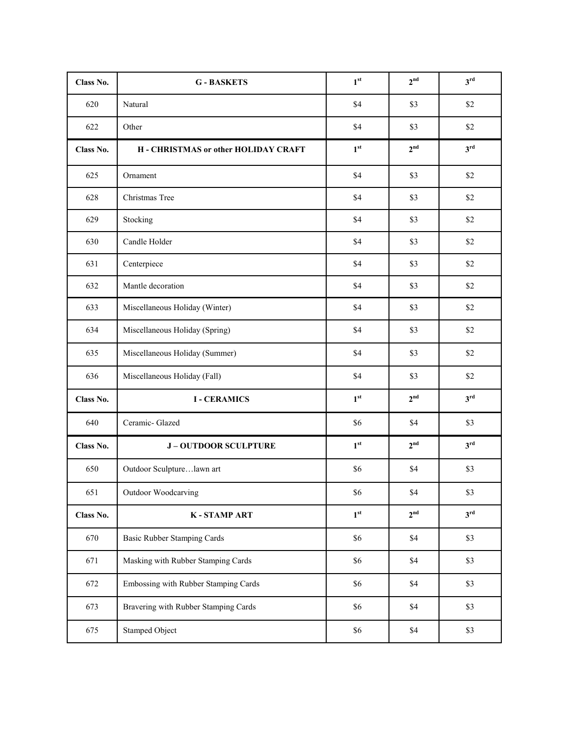| Class No. | <b>G-BASKETS</b>                     | 1 <sup>st</sup> | 2 <sup>nd</sup> | 3 <sup>rd</sup> |
|-----------|--------------------------------------|-----------------|-----------------|-----------------|
| 620       | Natural                              | \$4             | \$3             | \$2             |
| 622       | Other                                | \$4             | \$3             | \$2             |
| Class No. | H - CHRISTMAS or other HOLIDAY CRAFT | 1 <sup>st</sup> | 2 <sup>nd</sup> | $3^{\text{rd}}$ |
| 625       | Ornament                             | \$4             | \$3             | \$2             |
| 628       | Christmas Tree                       | \$4             | \$3             | \$2             |
| 629       | Stocking                             | \$4             | \$3             | \$2             |
| 630       | Candle Holder                        | \$4             | \$3             | \$2             |
| 631       | Centerpiece                          | \$4             | \$3             | \$2             |
| 632       | Mantle decoration                    | \$4             | \$3             | \$2             |
| 633       | Miscellaneous Holiday (Winter)       | \$4             | \$3             | \$2             |
| 634       | Miscellaneous Holiday (Spring)       | \$4             | \$3             | \$2             |
| 635       | Miscellaneous Holiday (Summer)       | \$4             | \$3             | \$2             |
| 636       | Miscellaneous Holiday (Fall)         | \$4             | \$3             | \$2             |
| Class No. | <b>I-CERAMICS</b>                    | 1 <sup>st</sup> | 2 <sup>nd</sup> | 3 <sup>rd</sup> |
| 640       | Ceramic- Glazed                      | \$6             | \$4             | \$3             |
| Class No. | <b>J-OUTDOOR SCULPTURE</b>           | 1 <sup>st</sup> | 2 <sup>nd</sup> | 3 <sup>rd</sup> |
| 650       | Outdoor Sculpturelawn art            | \$6             | \$4             | \$3             |
| 651       | Outdoor Woodcarving                  | \$6             | \$4             | \$3             |
| Class No. | <b>K-STAMP ART</b>                   | 1 <sup>st</sup> | 2 <sup>nd</sup> | 3 <sup>rd</sup> |
| 670       | <b>Basic Rubber Stamping Cards</b>   | \$6             | \$4             | \$3             |
| 671       | Masking with Rubber Stamping Cards   | \$6             | \$4             | \$3             |
| 672       | Embossing with Rubber Stamping Cards | \$6             | \$4             | \$3             |
| 673       | Bravering with Rubber Stamping Cards | \$6             | \$4             | \$3             |
| 675       | Stamped Object                       | \$6             | $\$4$           | \$3             |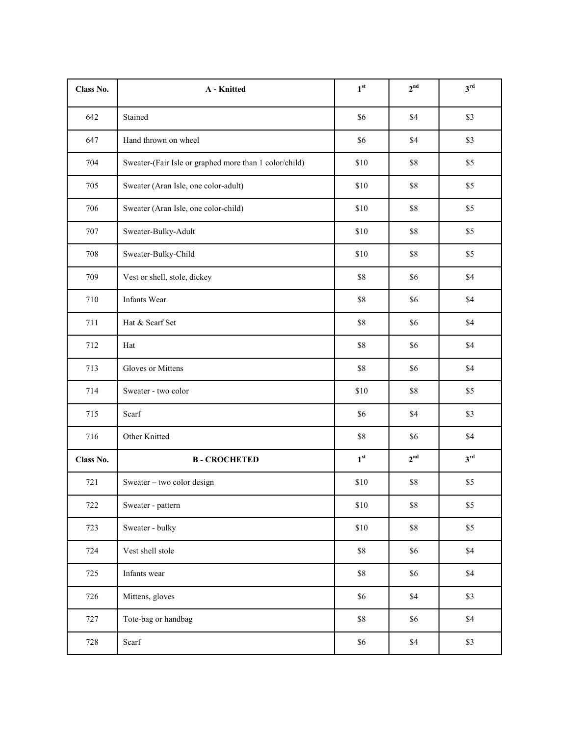| Class No. | A - Knitted                                            | 1 <sup>st</sup> | 2 <sup>nd</sup> | 3 <sup>rd</sup> |
|-----------|--------------------------------------------------------|-----------------|-----------------|-----------------|
| 642       | Stained                                                | \$6             | \$4             | \$3             |
| 647       | Hand thrown on wheel                                   | \$6             | \$4             | \$3             |
| 704       | Sweater-(Fair Isle or graphed more than 1 color/child) | \$10            | \$8             | \$5             |
| 705       | Sweater (Aran Isle, one color-adult)                   | \$10            | \$8             | \$5             |
| 706       | Sweater (Aran Isle, one color-child)                   | \$10            | \$8             | \$5             |
| 707       | Sweater-Bulky-Adult                                    | \$10            | \$8             | \$5             |
| 708       | Sweater-Bulky-Child                                    | \$10            | \$8             | \$5             |
| 709       | Vest or shell, stole, dickey                           | \$8             | \$6             | \$4             |
| 710       | Infants Wear                                           | $\$8$           | \$6             | \$4             |
| 711       | Hat & Scarf Set                                        | $\$8$           | \$6             | \$4             |
| 712       | Hat                                                    | \$8             | \$6             | \$4             |
| 713       | Gloves or Mittens                                      | \$8             | \$6             | \$4             |
| 714       | Sweater - two color                                    | \$10            | \$8             | \$5             |
| 715       | Scarf                                                  | \$6             | \$4             | \$3             |
| 716       | Other Knitted                                          | $\$8$           | \$6             | \$4             |
| Class No. | <b>B-CROCHETED</b>                                     | 1 <sup>st</sup> | 2 <sup>nd</sup> | 3 <sup>rd</sup> |
| 721       | Sweater - two color design                             | \$10            | \$8             | \$5             |
| 722       | Sweater - pattern                                      | \$10            | $\$8$           | $\$5$           |
| 723       | Sweater - bulky                                        | \$10            | $\$8$           | \$5             |
| 724       | Vest shell stole                                       | $\$8$           | $\$6$           | $\$4$           |
| 725       | Infants wear                                           | $\$8$           | $\$6$           | \$4             |
| 726       | Mittens, gloves                                        | $\$6$           | $\$4$           | \$3             |
| 727       | Tote-bag or handbag                                    | $\$8$           | $\$6$           | $\$4$           |
| 728       | Scarf                                                  | \$6             | \$4             | \$3             |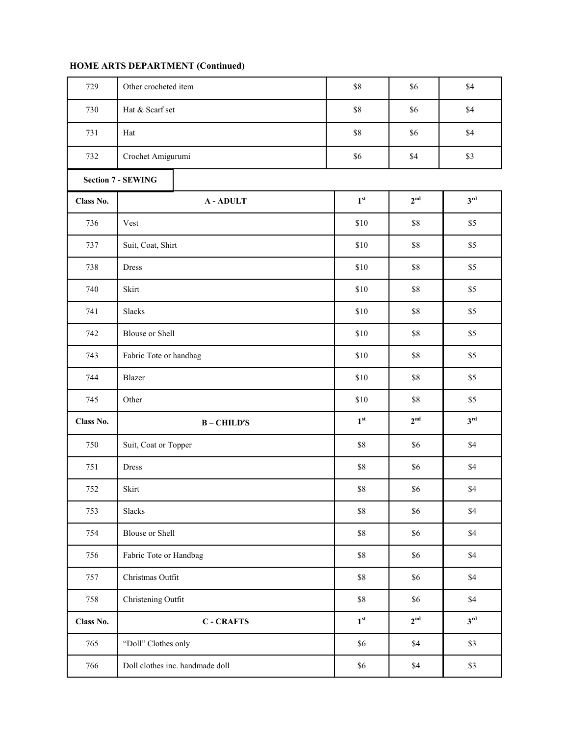| 729       | Other crocheted item            | $\$8$           | \$6             | \$4             |
|-----------|---------------------------------|-----------------|-----------------|-----------------|
| 730       | Hat & Scarf set                 | $\$8$           | \$6             | \$4             |
| 731       | Hat                             | $\$8$           | \$6             | \$4             |
| 732       | Crochet Amigurumi               | \$6             | \$4             | \$3             |
|           | <b>Section 7 - SEWING</b>       |                 |                 |                 |
| Class No. | <b>A-ADULT</b>                  | 1 <sup>st</sup> | 2 <sup>nd</sup> | 3 <sup>rd</sup> |
| 736       | Vest                            | \$10            | \$8             | \$5             |
| 737       | Suit, Coat, Shirt               | \$10            | \$8             | \$5             |
| 738       | <b>Dress</b>                    | \$10            | \$8             | \$5             |
| 740       | Skirt                           | \$10            | \$8             | \$5             |
| 741       | Slacks                          | \$10            | \$8             | \$5             |
| 742       | <b>Blouse or Shell</b>          | \$10            | \$8             | $\$5$           |
| 743       | Fabric Tote or handbag          | \$10            | \$8             | \$5             |
| 744       | Blazer                          | \$10            | $\$8$           | \$5             |
| 745       | Other                           | \$10            | \$8             | \$5             |
| Class No. | $B - CHILD'S$                   | 1 <sup>st</sup> | 2 <sup>nd</sup> | $3^{\text{rd}}$ |
| 750       | Suit, Coat or Topper            | $\$8$           | \$6             | \$4             |
| 751       | Dress                           | $\$8$           | \$6             | \$4             |
| 752       | Skirt                           | $\$8$           | \$6             | $\$4$           |
| 753       | Slacks                          | $\$8$           | \$6             | $\$4$           |
| 754       | <b>Blouse or Shell</b>          | $\$8$           | \$6             | $\$4$           |
| 756       | Fabric Tote or Handbag          | $\$8$           | \$6             | $\$4$           |
| 757       | Christmas Outfit                | $\$8$           | \$6             | $\$4$           |
| 758       | Christening Outfit              | $\$8$           | \$6             | $\$4$           |
| Class No. | <b>C-CRAFTS</b>                 | 1 <sup>st</sup> | 2 <sup>nd</sup> | 3 <sup>rd</sup> |
| 765       | "Doll" Clothes only             | $\$6$           | \$4             | $$3$            |
| 766       | Doll clothes inc. handmade doll | $\$6$           | $\$4$           | $\$3$           |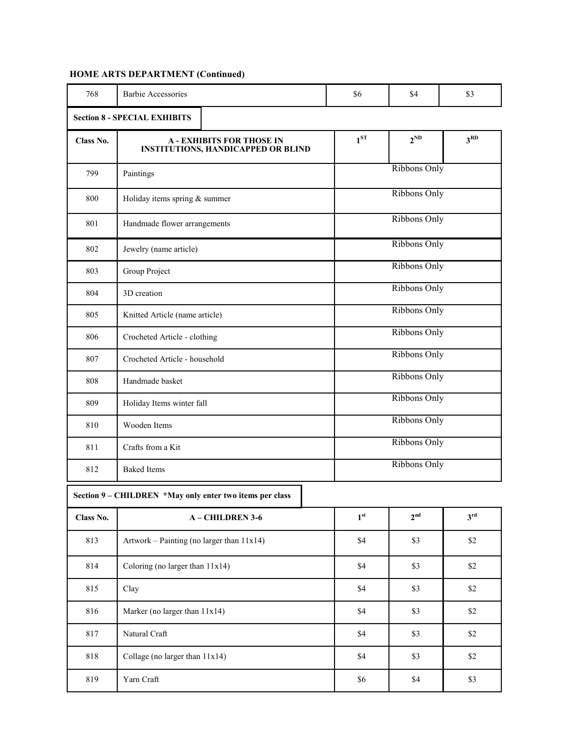| 768                                                      | Barbie Accessories                                                            | \$6             | \$4             | \$3             |  |  |
|----------------------------------------------------------|-------------------------------------------------------------------------------|-----------------|-----------------|-----------------|--|--|
| <b>Section 8 - SPECIAL EXHIBITS</b>                      |                                                                               |                 |                 |                 |  |  |
| Class No.                                                | <b>A - EXHIBITS FOR THOSE IN</b><br><b>INSTITUTIONS, HANDICAPPED OR BLIND</b> | $1^{ST}$        | $2^{ND}$        | 3 <sup>RD</sup> |  |  |
| 799                                                      | Paintings                                                                     |                 | Ribbons Only    |                 |  |  |
| 800                                                      | Holiday items spring & summer                                                 |                 | Ribbons Only    |                 |  |  |
| 801                                                      | Handmade flower arrangements                                                  | Ribbons Only    |                 |                 |  |  |
| 802                                                      | Jewelry (name article)                                                        | Ribbons Only    |                 |                 |  |  |
| 803                                                      | Group Project                                                                 | Ribbons Only    |                 |                 |  |  |
| 804                                                      | 3D creation                                                                   | Ribbons Only    |                 |                 |  |  |
| 805                                                      | Knitted Article (name article)                                                | Ribbons Only    |                 |                 |  |  |
| 806                                                      | Crocheted Article - clothing                                                  | Ribbons Only    |                 |                 |  |  |
| 807                                                      | Crocheted Article - household                                                 | Ribbons Only    |                 |                 |  |  |
| 808                                                      | Handmade basket                                                               | Ribbons Only    |                 |                 |  |  |
| 809                                                      | Holiday Items winter fall                                                     | Ribbons Only    |                 |                 |  |  |
| 810                                                      | Wooden Items                                                                  | Ribbons Only    |                 |                 |  |  |
| 811                                                      | Crafts from a Kit                                                             | Ribbons Only    |                 |                 |  |  |
| 812                                                      | <b>Baked Items</b>                                                            | Ribbons Only    |                 |                 |  |  |
| Section 9 - CHILDREN *May only enter two items per class |                                                                               |                 |                 |                 |  |  |
| Class No.                                                | A-CHILDREN 3-6                                                                | 1 <sup>st</sup> | 2 <sup>nd</sup> | 3 <sup>rd</sup> |  |  |
| 813                                                      | Artwork - Painting (no larger than $11x14$ )                                  | \$4             | \$3             | $\$2$           |  |  |
| 814                                                      | Coloring (no larger than 11x14)                                               | \$4             | \$3             | $\$2$           |  |  |
| 815                                                      | Clay                                                                          | \$4             | \$3             | \$2             |  |  |
| 816                                                      | Marker (no larger than 11x14)                                                 | \$4             | \$3             | \$2             |  |  |
| 817                                                      | Natural Craft                                                                 | \$4             | \$3             | \$2             |  |  |
| 818                                                      | Collage (no larger than 11x14)                                                | \$4             | \$3             | $\$2$           |  |  |
| 819                                                      | Yarn Craft                                                                    | \$6             | \$4             | \$3             |  |  |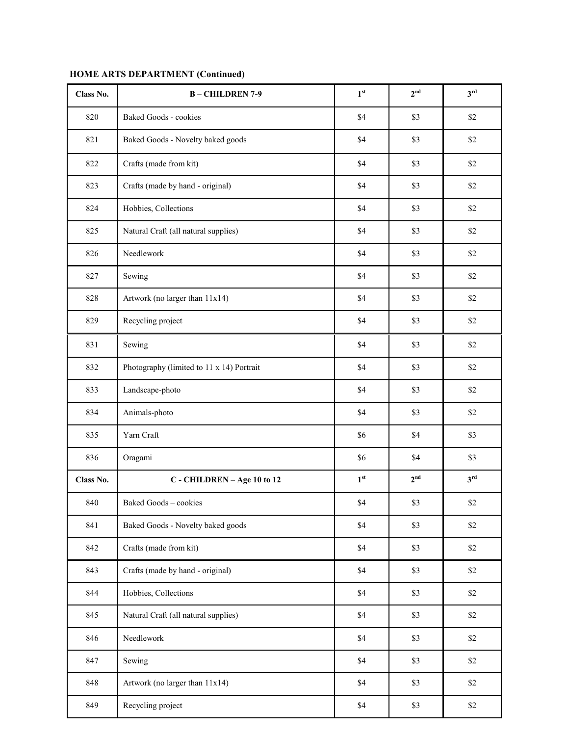| Class No. | <b>B-CHILDREN 7-9</b>                     | 1 <sup>st</sup> | 2 <sup>nd</sup> | 3 <sup>rd</sup> |
|-----------|-------------------------------------------|-----------------|-----------------|-----------------|
| 820       | <b>Baked Goods - cookies</b>              | \$4             | \$3             | \$2             |
| 821       | Baked Goods - Novelty baked goods         | \$4             | \$3             | \$2             |
| 822       | Crafts (made from kit)                    | \$4             | \$3             | \$2             |
| 823       | Crafts (made by hand - original)          | \$4             | \$3             | \$2             |
| 824       | Hobbies, Collections                      | \$4             | \$3             | \$2             |
| 825       | Natural Craft (all natural supplies)      | \$4             | \$3             | \$2             |
| 826       | Needlework                                | \$4             | \$3             | \$2             |
| 827       | Sewing                                    | \$4             | \$3             | \$2             |
| 828       | Artwork (no larger than 11x14)            | \$4             | \$3             | \$2             |
| 829       | Recycling project                         | \$4             | \$3             | \$2             |
| 831       | Sewing                                    | \$4             | \$3             | \$2             |
| 832       | Photography (limited to 11 x 14) Portrait | \$4             | \$3             | \$2             |
| 833       | Landscape-photo                           | \$4             | \$3             | \$2             |
| 834       | Animals-photo                             | \$4             | \$3             | \$2             |
| 835       | Yarn Craft                                | \$6             | \$4             | \$3             |
| 836       | Oragami                                   | \$6             | \$4             | \$3             |
| Class No. | C - CHILDREN - Age 10 to 12               | 1 <sup>st</sup> | 2 <sup>nd</sup> | 3 <sup>rd</sup> |
| 840       | Baked Goods - cookies                     | $\$4$           | \$3             | $\$2$           |
| 841       | Baked Goods - Novelty baked goods         | \$4             | \$3             | \$2             |
| 842       | Crafts (made from kit)                    | \$4             | \$3             | $\$2$           |
| 843       | Crafts (made by hand - original)          | $\$4$           | \$3             | $\$2$           |
| 844       | Hobbies, Collections                      | $\$4$           | \$3             | $\$2$           |
| 845       | Natural Craft (all natural supplies)      | $\$4$           | \$3             | $\$2$           |
| 846       | Needlework                                | \$4             | \$3             | \$2             |
| 847       | Sewing                                    | \$4             | \$3             | $\$2$           |
| 848       | Artwork (no larger than 11x14)            | \$4             | \$3             | $\$2$           |
| 849       | Recycling project                         | \$4             | \$3             | $\$2$           |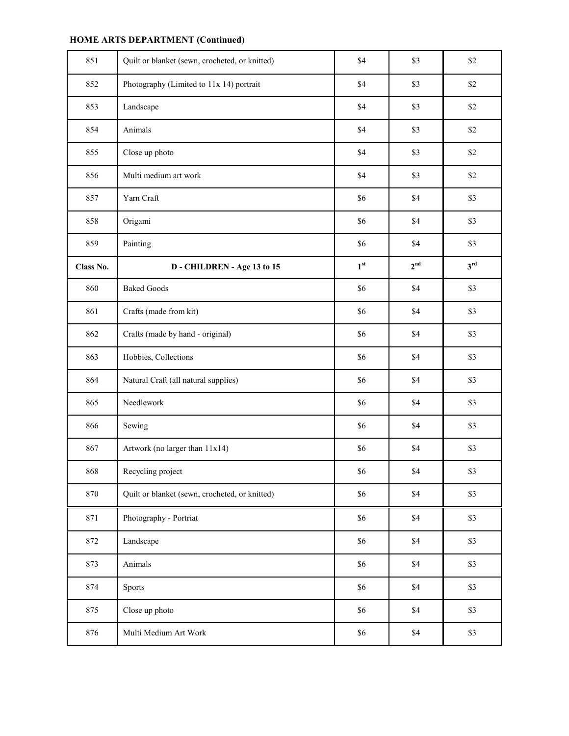| 851       | Quilt or blanket (sewn, crocheted, or knitted) | \$4             | \$3             | \$2             |
|-----------|------------------------------------------------|-----------------|-----------------|-----------------|
| 852       | Photography (Limited to 11x 14) portrait       | \$4             | \$3             | \$2             |
| 853       | Landscape                                      | \$4             | \$3             | \$2             |
| 854       | Animals                                        | \$4             | \$3             | \$2             |
| 855       | Close up photo                                 | \$4             | \$3             | \$2             |
| 856       | Multi medium art work                          | \$4             | \$3             | \$2             |
| 857       | Yarn Craft                                     | \$6             | \$4             | \$3             |
| 858       | Origami                                        | \$6             | \$4             | \$3             |
| 859       | Painting                                       | \$6             | \$4             | \$3             |
| Class No. | D - CHILDREN - Age 13 to 15                    | 1 <sup>st</sup> | 2 <sup>nd</sup> | 3 <sup>rd</sup> |
| 860       | <b>Baked Goods</b>                             | \$6             | \$4             | \$3             |
| 861       | Crafts (made from kit)                         | \$6             | \$4             | \$3             |
| 862       | Crafts (made by hand - original)               | \$6             | \$4             | \$3             |
| 863       | Hobbies, Collections                           | \$6             | \$4             | \$3             |
| 864       | Natural Craft (all natural supplies)           | \$6             | \$4             | \$3             |
| 865       | Needlework                                     | \$6             | \$4             | \$3             |
| 866       | Sewing                                         | \$6             | \$4             | \$3             |
| 867       | Artwork (no larger than 11x14)                 | \$6             | \$4             | \$3             |
| 868       | Recycling project                              | \$6             | \$4             | \$3             |
| 870       | Quilt or blanket (sewn, crocheted, or knitted) | $\$6$           | \$4             | \$3             |
| 871       | Photography - Portriat                         | $\$6$           | \$4             | \$3             |
| 872       | Landscape                                      | \$6             | \$4             | \$3             |
| 873       | Animals                                        | \$6             | \$4             | \$3             |
| 874       | Sports                                         | \$6             | \$4             | \$3             |
| 875       | Close up photo                                 | \$6             | \$4             | \$3             |
| 876       | Multi Medium Art Work                          | \$6             | $\$4$           | \$3             |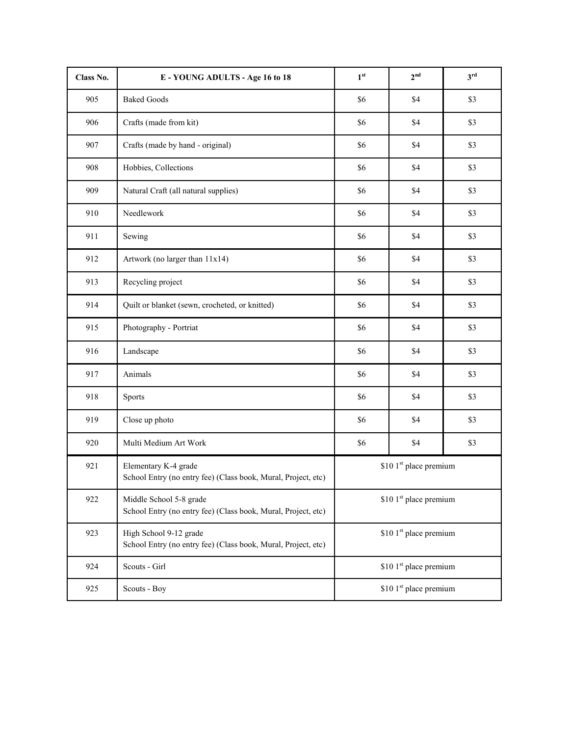| Class No. | E - YOUNG ADULTS - Age 16 to 18                                                          | 1 <sup>st</sup>                    | 2 <sup>nd</sup> | 3 <sup>rd</sup> |
|-----------|------------------------------------------------------------------------------------------|------------------------------------|-----------------|-----------------|
| 905       | <b>Baked Goods</b>                                                                       | \$6                                | \$4             | \$3             |
| 906       | Crafts (made from kit)                                                                   | \$6                                | \$4             | \$3             |
| 907       | Crafts (made by hand - original)                                                         | \$6                                | \$4             | \$3             |
| 908       | Hobbies, Collections                                                                     | \$6                                | \$4             | \$3             |
| 909       | Natural Craft (all natural supplies)                                                     | \$6                                | \$4             | \$3             |
| 910       | Needlework                                                                               | \$6                                | \$4             | \$3             |
| 911       | Sewing                                                                                   | \$6                                | \$4             | \$3             |
| 912       | Artwork (no larger than 11x14)                                                           | \$6                                | \$4             | \$3             |
| 913       | Recycling project                                                                        | \$6                                | \$4             | \$3             |
| 914       | Quilt or blanket (sewn, crocheted, or knitted)                                           | \$6                                | \$4             | \$3             |
| 915       | Photography - Portriat                                                                   | \$6                                | \$4             | \$3             |
| 916       | Landscape                                                                                | \$6                                | \$4             | \$3             |
| 917       | Animals                                                                                  | \$6                                | \$4             | \$3             |
| 918       | Sports                                                                                   | \$6                                | \$4             | \$3             |
| 919       | Close up photo                                                                           | \$6                                | \$4             | \$3             |
| 920       | Multi Medium Art Work                                                                    | \$6                                | \$4             | \$3             |
| 921       | Elementary K-4 grade<br>School Entry (no entry fee) (Class book, Mural, Project, etc)    | \$10 1st place premium             |                 |                 |
| 922       | Middle School 5-8 grade<br>School Entry (no entry fee) (Class book, Mural, Project, etc) | \$10 1st place premium             |                 |                 |
| 923       | High School 9-12 grade<br>School Entry (no entry fee) (Class book, Mural, Project, etc)  | \$10 1 <sup>st</sup> place premium |                 |                 |
| 924       | Scouts - Girl                                                                            | \$10 1 <sup>st</sup> place premium |                 |                 |
| 925       | Scouts - Boy                                                                             | \$10 1 <sup>st</sup> place premium |                 |                 |